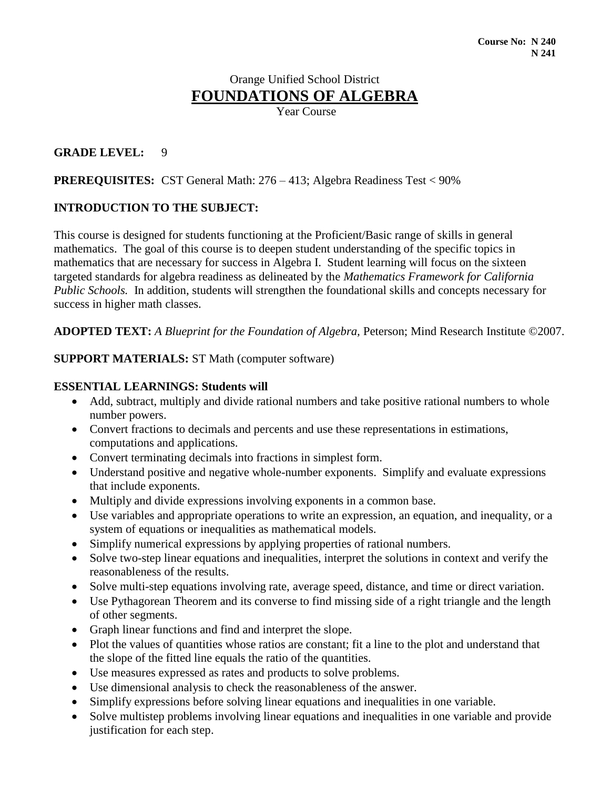# Orange Unified School District **FOUNDATIONS OF ALGEBRA**

Year Course

### **GRADE LEVEL:** 9

### **PREREQUISITES:** CST General Math: 276 – 413; Algebra Readiness Test < 90%

### **INTRODUCTION TO THE SUBJECT:**

This course is designed for students functioning at the Proficient/Basic range of skills in general mathematics. The goal of this course is to deepen student understanding of the specific topics in mathematics that are necessary for success in Algebra I. Student learning will focus on the sixteen targeted standards for algebra readiness as delineated by the *Mathematics Framework for California Public Schools.* In addition, students will strengthen the foundational skills and concepts necessary for success in higher math classes.

**ADOPTED TEXT:** *A Blueprint for the Foundation of Algebra,* Peterson; Mind Research Institute ©2007.

### **SUPPORT MATERIALS:** ST Math (computer software)

### **ESSENTIAL LEARNINGS: Students will**

- Add, subtract, multiply and divide rational numbers and take positive rational numbers to whole number powers.
- Convert fractions to decimals and percents and use these representations in estimations, computations and applications.
- Convert terminating decimals into fractions in simplest form.
- Understand positive and negative whole-number exponents. Simplify and evaluate expressions that include exponents.
- Multiply and divide expressions involving exponents in a common base.
- Use variables and appropriate operations to write an expression, an equation, and inequality, or a system of equations or inequalities as mathematical models.
- Simplify numerical expressions by applying properties of rational numbers.
- Solve two-step linear equations and inequalities, interpret the solutions in context and verify the reasonableness of the results.
- Solve multi-step equations involving rate, average speed, distance, and time or direct variation.
- Use Pythagorean Theorem and its converse to find missing side of a right triangle and the length of other segments.
- Graph linear functions and find and interpret the slope.
- Plot the values of quantities whose ratios are constant; fit a line to the plot and understand that the slope of the fitted line equals the ratio of the quantities.
- Use measures expressed as rates and products to solve problems.
- Use dimensional analysis to check the reasonableness of the answer.
- Simplify expressions before solving linear equations and inequalities in one variable.
- Solve multistep problems involving linear equations and inequalities in one variable and provide justification for each step.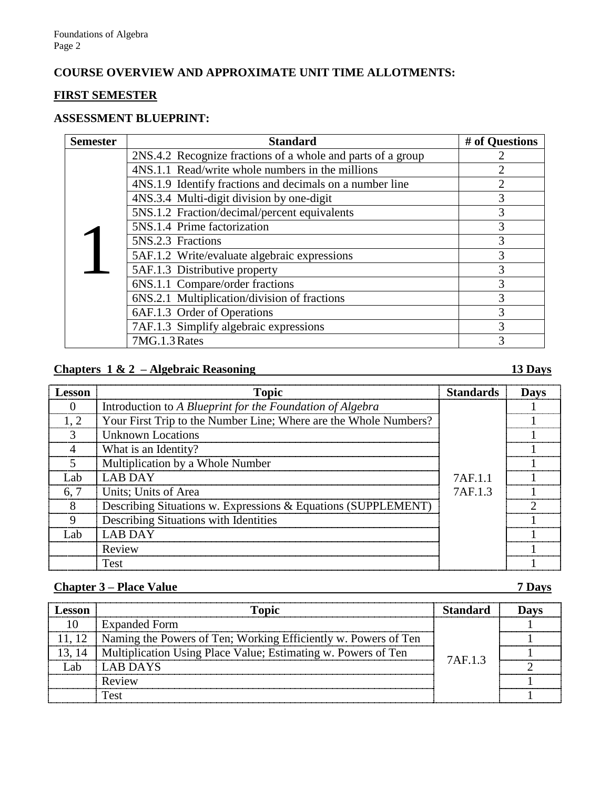### **COURSE OVERVIEW AND APPROXIMATE UNIT TIME ALLOTMENTS:**

## **FIRST SEMESTER**

### **ASSESSMENT BLUEPRINT:**

| <b>Semester</b> | <b>Standard</b>                                             | # of Questions |
|-----------------|-------------------------------------------------------------|----------------|
|                 | 2NS.4.2 Recognize fractions of a whole and parts of a group |                |
|                 | 4NS.1.1 Read/write whole numbers in the millions            | 2              |
|                 | 4NS.1.9 Identify fractions and decimals on a number line    | $\overline{2}$ |
|                 | 4NS.3.4 Multi-digit division by one-digit                   | 3              |
|                 | 5NS.1.2 Fraction/decimal/percent equivalents                | 3              |
|                 | 5NS.1.4 Prime factorization                                 | 3              |
|                 | 5NS.2.3 Fractions                                           | 3              |
|                 | 5AF.1.2 Write/evaluate algebraic expressions                | 3              |
|                 | 5AF.1.3 Distributive property                               | 3              |
|                 | 6NS.1.1 Compare/order fractions                             | 3              |
|                 | 6NS.2.1 Multiplication/division of fractions                | 3              |
|                 | 6AF.1.3 Order of Operations                                 | 3              |
|                 | 7AF.1.3 Simplify algebraic expressions                      | 3              |
|                 | 7MG.1.3 Rates                                               | 3              |

# **Chapters 1 & 2 – Algebraic Reasoning 13 Days**

| <b>Lesson</b> | <b>Topic</b>                                                     | <b>Standards</b> | <b>Days</b> |
|---------------|------------------------------------------------------------------|------------------|-------------|
|               | Introduction to A Blueprint for the Foundation of Algebra        |                  |             |
|               | Your First Trip to the Number Line; Where are the Whole Numbers? |                  |             |
|               | <b>Unknown Locations</b>                                         |                  |             |
|               | What is an Identity?                                             |                  |             |
|               | Multiplication by a Whole Number                                 |                  |             |
| Lab.          | <b>LAB DAY</b>                                                   | 7AF.1.1          |             |
| 6.7           | Units; Units of Area                                             | 7AF.1.3          |             |
|               | Describing Situations w. Expressions & Equations (SUPPLEMENT)    |                  |             |
|               | Describing Situations with Identities                            |                  |             |
| - ah          | <b>LAR DAY</b>                                                   |                  |             |
|               | Review                                                           |                  |             |
|               | <b>Test</b>                                                      |                  |             |

### **Chapter 3 – Place Value 7 Days**

| <b>ASSON</b> | Topic                                                                   | Standard |  |
|--------------|-------------------------------------------------------------------------|----------|--|
|              | <b>Expanded Form</b>                                                    |          |  |
|              | 11, 12   Naming the Powers of Ten; Working Efficiently w. Powers of Ten | 7AF 13   |  |
| 13.14        | Multiplication Using Place Value; Estimating w. Powers of Ten           |          |  |
|              | <b>LAB DAYS</b>                                                         |          |  |
|              | Review                                                                  |          |  |
|              |                                                                         |          |  |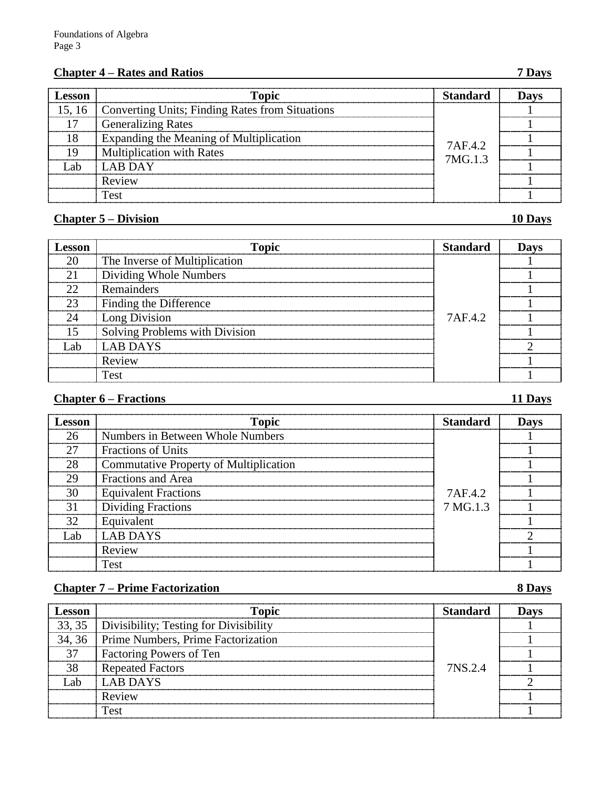# **Chapter 4 – Rates and Ratios 7 Days**

| Lesson | <b>Topic</b>                                    | <b>Standard</b> |  |
|--------|-------------------------------------------------|-----------------|--|
| 15, 16 | Converting Units; Finding Rates from Situations |                 |  |
|        | <b>Generalizing Rates</b>                       |                 |  |
| 18     | Expanding the Meaning of Multiplication         | 7AF42           |  |
|        | <b>Multiplication with Rates</b>                | 7MG.1.3         |  |
| -ah    | <b>LAR DAY</b>                                  |                 |  |
|        | Review                                          |                 |  |
|        | Test                                            |                 |  |

### **Chapter 5 – Division 10 Days**

| esson | <b>Topic</b>                   | Standard | Davs |
|-------|--------------------------------|----------|------|
| 20    | The Inverse of Multiplication  |          |      |
| 21    | Dividing Whole Numbers         |          |      |
| 22    | Remainders                     |          |      |
| 23    | Finding the Difference         |          |      |
| 24    | Long Division                  | 7AF.4.2  |      |
|       | Solving Problems with Division |          |      |
| .ah   | <b>LAB DAYS</b>                |          |      |
|       | Review                         |          |      |
|       | Test                           |          |      |

### **Chapter 6 – Fractions 11 Days**

| <b>Lesson</b> | <b>Topic</b>                                  | Standard | <b>Davs</b> |
|---------------|-----------------------------------------------|----------|-------------|
| 26            | Numbers in Between Whole Numbers              |          |             |
| 27            | <b>Fractions of Units</b>                     |          |             |
| 28            | <b>Commutative Property of Multiplication</b> |          |             |
| 29            | <b>Fractions and Area</b>                     |          |             |
| 30            | <b>Equivalent Fractions</b>                   | 7AF.4.2  |             |
| 31            | Dividing Fractions                            | 7 MG.1.3 |             |
| 32            | Equivalent                                    |          |             |
| l .ah         | LAB DAYS                                      |          |             |
|               | Review                                        |          |             |
|               | <b>Test</b>                                   |          |             |

### **Chapter 7 – Prime Factorization 8 Days**

| Lesson | <b>Topic</b>                                    | Standard | Davs |
|--------|-------------------------------------------------|----------|------|
|        | 33, 35   Divisibility; Testing for Divisibility |          |      |
|        | 34, 36 Prime Numbers, Prime Factorization       |          |      |
| 37     | <b>Factoring Powers of Ten</b>                  |          |      |
|        | <b>Repeated Factors</b>                         | 7NS 2.4  |      |
| Lah    | LAB DAYS                                        |          |      |
|        | Review                                          |          |      |
|        | Test                                            |          |      |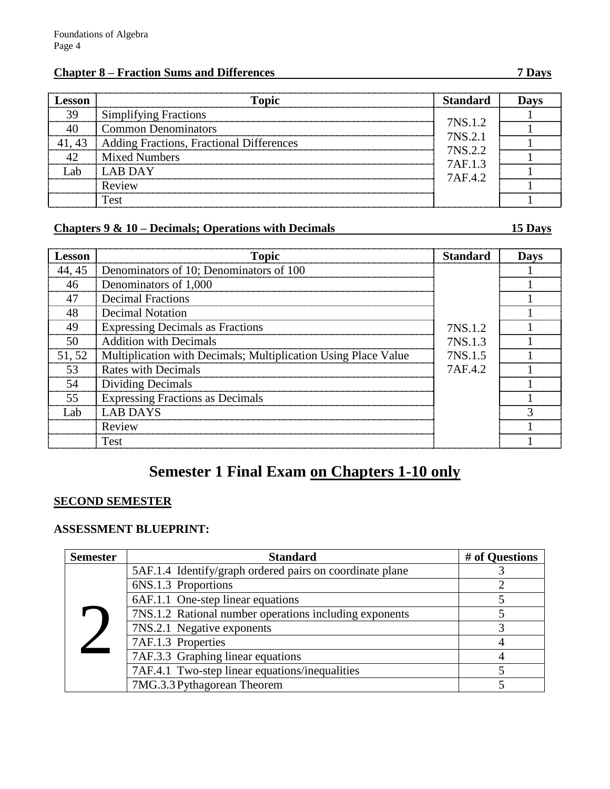### **Chapter 8 – Fraction Sums and Differences 7 Days**

| <b>esson</b> | <b>Topic</b>                             | <b>Standard</b>    | <b>Davs</b> |
|--------------|------------------------------------------|--------------------|-------------|
| 39           | <b>Simplifying Fractions</b>             |                    |             |
|              | <b>Common Denominators</b>               | 7NS.1.2<br>7NS.2.1 |             |
| 41, 43       | Adding Fractions, Fractional Differences | 7NS.2.2            |             |
|              | <b>Mixed Numbers</b>                     | 7AF.1.3            |             |
| Lab          | <b>LAB DAY</b>                           | 7AF.4.2            |             |
|              | Review                                   |                    |             |
|              | Test                                     |                    |             |

### **Chapters 9 & 10 – Decimals; Operations with Decimals 15 Days**

| Lesson | <b>Topic</b>                                                   | <b>Standard</b> | <b>Days</b> |  |
|--------|----------------------------------------------------------------|-----------------|-------------|--|
| 44, 45 | Denominators of 10; Denominators of 100                        |                 |             |  |
| 46     | Denominators of 1,000                                          |                 |             |  |
| 47     | <b>Decimal Fractions</b>                                       |                 |             |  |
| 48     | Decimal Notation                                               |                 |             |  |
| 49     | <b>Expressing Decimals as Fractions</b>                        | 7NS.1.2         |             |  |
| 50     | <b>Addition with Decimals</b>                                  | 7NS.1.3         |             |  |
| 51, 52 | Multiplication with Decimals; Multiplication Using Place Value | 7NS.1.5         |             |  |
| 53     | <b>Rates with Decimals</b>                                     | 7AF.4.2         |             |  |
| 54     | Dividing Decimals                                              |                 |             |  |
| 55     | <b>Expressing Fractions as Decimals</b>                        |                 |             |  |
| Lab.   | <b>LAB DAYS</b>                                                |                 |             |  |
|        | Review                                                         |                 |             |  |
|        | <b>Test</b>                                                    |                 |             |  |

# **Semester 1 Final Exam on Chapters 1-10 only**

### **SECOND SEMESTER**

### **ASSESSMENT BLUEPRINT:**

| <b>Semester</b> | <b>Standard</b>                                          | # of Questions |
|-----------------|----------------------------------------------------------|----------------|
|                 | 5AF.1.4 Identify/graph ordered pairs on coordinate plane |                |
|                 | 6NS.1.3 Proportions                                      |                |
|                 | 6AF.1.1 One-step linear equations                        |                |
|                 | 7NS.1.2 Rational number operations including exponents   |                |
|                 | 7NS.2.1 Negative exponents                               |                |
|                 | 7AF.1.3 Properties                                       |                |
|                 | 7AF.3.3 Graphing linear equations                        |                |
|                 | 7AF.4.1 Two-step linear equations/inequalities           |                |
|                 | 7MG.3.3 Pythagorean Theorem                              |                |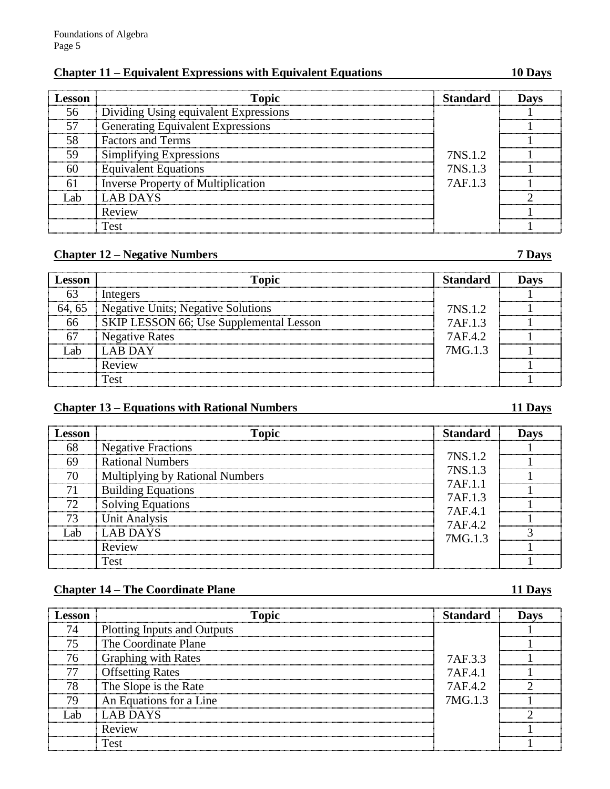### **Chapter 11 – Equivalent Expressions with Equivalent Equations 10 Days**

| Lesson | <b>Topic</b>                              | Standard | Davs |
|--------|-------------------------------------------|----------|------|
| 56     | Dividing Using equivalent Expressions     |          |      |
| -57    | <b>Generating Equivalent Expressions</b>  |          |      |
| .58    | <b>Factors and Terms</b>                  |          |      |
| 59     | Simplifying Expressions                   | 7NS.1.2  |      |
| 60     | <b>Equivalent Equations</b>               | 7NS.1.3  |      |
|        | <b>Inverse Property of Multiplication</b> | 7AF.1.3  |      |
| Lab    | LAB DAYS                                  |          |      |
|        | Review                                    |          |      |
|        | Test                                      |          |      |

### **Chapter 12 – Negative Numbers 7 Days**

| <b>esson</b> | <b>Topic</b>                            | <b>Standard</b> |  |
|--------------|-----------------------------------------|-----------------|--|
|              | Integers                                |                 |  |
| 64, 65       | Negative Units; Negative Solutions      | 7NS.1.2         |  |
| 66           | SKIP LESSON 66; Use Supplemental Lesson | 7AF.1.3         |  |
|              | <b>Negative Rates</b>                   | 7AF.4.2         |  |
| ∫.ab         | LAB DAY                                 | 7MG.1.3         |  |
|              | Review                                  |                 |  |
|              | Test                                    |                 |  |

### **Chapter 13 – Equations with Rational Numbers 11 Days**

### **Lesson Topic Standard Days** 68 Negative Fractions<br>69 Rational Numbers 7NS.1.2 7NS.1.3 7AF.1.1 7AF.1.3 7AF.4.1 7AF.4.2 7MG.1.3 1 Rational Numbers  $\begin{array}{c|c} \n\sqrt{N}S.1.2 & 1 \\
\hline\n2N(1.2) & 1\n\end{array}$ 70 Multiplying by Rational Numbers (1986)<br>
71 Building Equations (1986)<br>
74 F.1.1 74 F.1.2 (1986) The Tax of the Tax of the Tax of the Tax of the Tax of the Tax of the Tax of the Tax of the Tax of the Tax of the Tax of the Tax of the Tax of the Tax of the Tax of the Tax of the Tax of the Tax of the Tax of the Tax of th  $\begin{array}{c|c|c|c|c|c|c} \hline \text{Solving Equations} & & & \text{AF.1.3} & & 1 \ \hline \end{array}$ Unit Analysis  $\begin{bmatrix} 1 & 1 \\ 2 & 1 \end{bmatrix}$ Lab  $\begin{array}{|c|c|c|c|c|c|c|c|c|}\n\hline \text{Lab} & \text{LAB DAYS} & & \text{MCA 12} & & \text{3} \\
\hline \end{array}$ Review  $1$ Test 1

### **Chapter 14 – The Coordinate Plane 11 Days**

|  | ٠<br>ī<br>ы |
|--|-------------|
|  |             |

| Lesson | <b>Topic</b>                       | <b>Standard</b> | Dave |
|--------|------------------------------------|-----------------|------|
| 74     | <b>Plotting Inputs and Outputs</b> |                 |      |
| 75     | The Coordinate Plane               |                 |      |
| 76     | <b>Graphing with Rates</b>         | 7AF.3.3         |      |
| 77     | <b>Offsetting Rates</b>            | 7AF.4.1         |      |
| 78     | The Slope is the Rate              | 7AF.4.2         |      |
| 79     | An Equations for a Line            | 7MG.1.3         |      |
| Lah    | <b>LAB DAYS</b>                    |                 |      |
|        | Review                             |                 |      |
|        | Test                               |                 |      |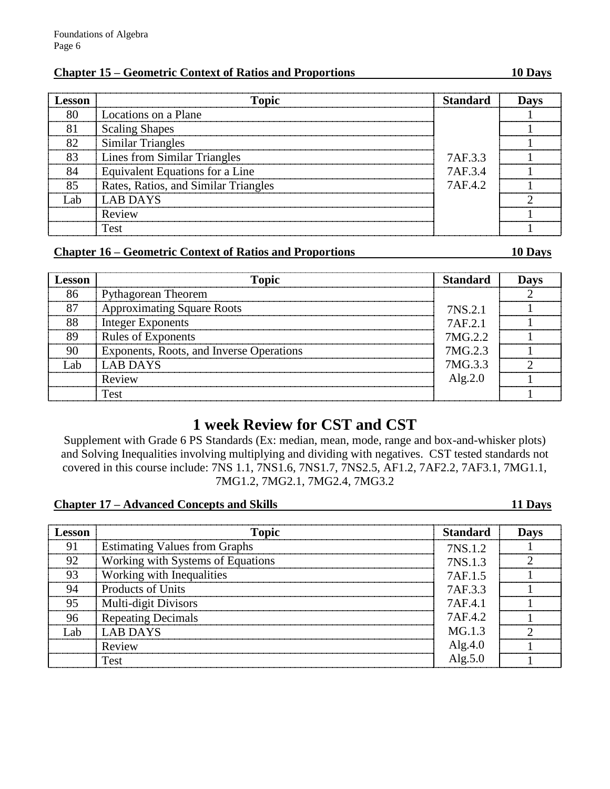### **Chapter 15 – Geometric Context of Ratios and Proportions 10 Days**

| <b>Lesson</b> | <b>Topic</b>                         | Standard | <b>Days</b> |  |
|---------------|--------------------------------------|----------|-------------|--|
| 80            | Locations on a Plane                 |          |             |  |
| 81            | <b>Scaling Shapes</b>                |          |             |  |
| 82            | <b>Similar Triangles</b>             |          |             |  |
| 83            | Lines from Similar Triangles         | 7AF.3.3  |             |  |
| 84            | Equivalent Equations for a Line      | 7AF.3.4  |             |  |
| 85            | Rates, Ratios, and Similar Triangles | 7AF.4.2  |             |  |
|               | <b>LAB DAYS</b>                      |          |             |  |
|               | Review                               |          |             |  |
|               | Test                                 |          |             |  |

### **Chapter 16 – Geometric Context of Ratios and Proportions 10 Days**

| <b>esson</b> | <b>Topic</b>                             | <b>Standard</b> | Dave |
|--------------|------------------------------------------|-----------------|------|
| 86           | <b>Pythagorean Theorem</b>               |                 |      |
|              | <b>Approximating Square Roots</b>        | 7NS.2.1         |      |
| 88           | <b>Integer Exponents</b>                 | 7AF 2.1         |      |
| 89           | <b>Rules of Exponents</b>                | 7MG.2.2         |      |
| 90           | Exponents, Roots, and Inverse Operations | 7MG.2.3         |      |
| -ah          | <b>LAB DAYS</b>                          | 7MG.3.3         |      |
|              | Review                                   | Alg. $2.0$      |      |
|              | Test                                     |                 |      |

# **1 week Review for CST and CST**

Supplement with Grade 6 PS Standards (Ex: median, mean, mode, range and box-and-whisker plots) and Solving Inequalities involving multiplying and dividing with negatives. CST tested standards not covered in this course include: 7NS 1.1, 7NS1.6, 7NS1.7, 7NS2.5, AF1.2, 7AF2.2, 7AF3.1, 7MG1.1, 7MG1.2, 7MG2.1, 7MG2.4, 7MG3.2

### **Chapter 17 – Advanced Concepts and Skills 11 Days**

| Lesson | <b>Topic</b>                         | <b>Standard</b> | <b>Days</b> |
|--------|--------------------------------------|-----------------|-------------|
| 91     | <b>Estimating Values from Graphs</b> | 7NS.1.2         |             |
| 92     | Working with Systems of Equations    | 7NS.1.3         |             |
| 93     | Working with Inequalities            | 7AF.1.5         |             |
| 94     | Products of Units                    | 7AF.3.3         |             |
| 95     | Multi-digit Divisors                 | 7AF.4.1         |             |
| 96     | <b>Repeating Decimals</b>            | 7AF42           |             |
| Lab    | <b>LAB DAYS</b>                      | MG.1.3          |             |
|        | Review                               | Alg.4.0         |             |
|        | Test                                 | Alg. $5.0$      |             |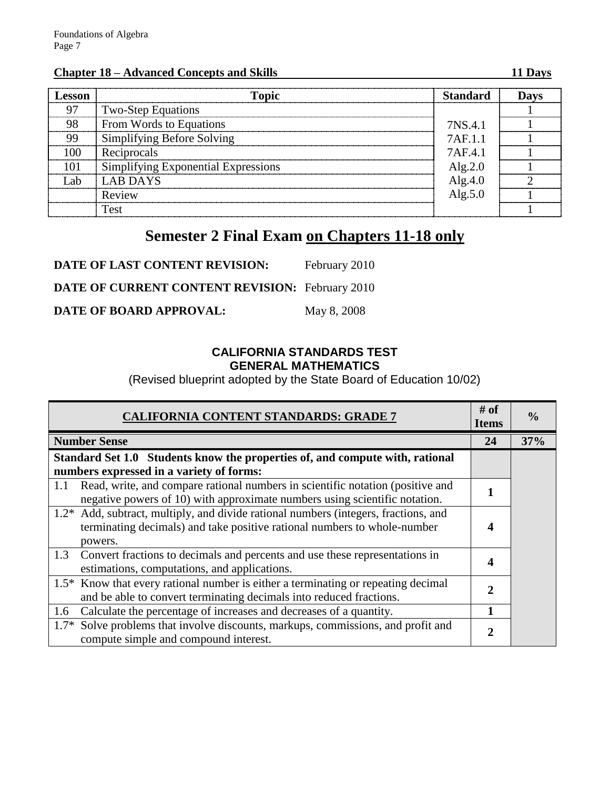### **Chapter 18 – Advanced Concepts and Skills 11 Days**

| Lesson | <b>Topic</b>                        | <b>Standard</b> | Davs |
|--------|-------------------------------------|-----------------|------|
| 97     | <b>Two-Step Equations</b>           |                 |      |
| 98     | From Words to Equations             | 7NS.4.1         |      |
| 99     | Simplifying Before Solving          | 7AF 1.1         |      |
| 00     | Reciprocals                         | 7AF41           |      |
|        | Simplifying Exponential Expressions | Alg. $2.0$      |      |
| -ah    | <b>LAB DAYS</b>                     | Alg. $4.0$      |      |
|        | Review                              | Alg. $5.0$      |      |
|        | <b>Test</b>                         |                 |      |

# **Semester 2 Final Exam on Chapters 11-18 only**

| DATE OF LAST CONTENT REVISION:                         | February 2010 |
|--------------------------------------------------------|---------------|
| <b>DATE OF CURRENT CONTENT REVISION:</b> February 2010 |               |
| DATE OF BOARD APPROVAL:                                | May 8, 2008   |

### **CALIFORNIA STANDARDS TEST GENERAL MATHEMATICS**

(Revised blueprint adopted by the State Board of Education 10/02)

| <b>CALIFORNIA CONTENT STANDARDS: GRADE 7</b>                                                                                                                               | # of<br><b>Items</b> | $\frac{0}{0}$ |
|----------------------------------------------------------------------------------------------------------------------------------------------------------------------------|----------------------|---------------|
| <b>Number Sense</b>                                                                                                                                                        | 24                   | 37%           |
| Standard Set 1.0 Students know the properties of, and compute with, rational                                                                                               |                      |               |
| numbers expressed in a variety of forms:                                                                                                                                   |                      |               |
| Read, write, and compare rational numbers in scientific notation (positive and<br>1.1<br>negative powers of 10) with approximate numbers using scientific notation.        |                      |               |
| 1.2* Add, subtract, multiply, and divide rational numbers (integers, fractions, and<br>terminating decimals) and take positive rational numbers to whole-number<br>powers. | 4                    |               |
| 1.3<br>Convert fractions to decimals and percents and use these representations in<br>estimations, computations, and applications.                                         | 4                    |               |
| 1.5* Know that every rational number is either a terminating or repeating decimal<br>and be able to convert terminating decimals into reduced fractions.                   |                      |               |
| Calculate the percentage of increases and decreases of a quantity.<br>1.6                                                                                                  |                      |               |
| Solve problems that involve discounts, markups, commissions, and profit and<br>$1.7*$<br>compute simple and compound interest.                                             |                      |               |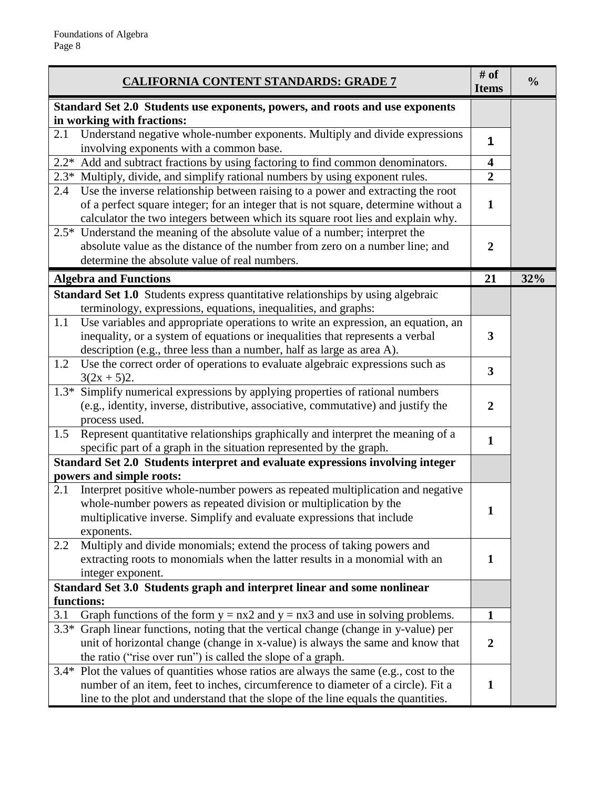| <u>CALIFORNIA CONTENT STANDARDS: GRADE 7</u>                                                                                                                                                                                                                         | # of<br><b>Items</b>    | $\frac{0}{0}$ |
|----------------------------------------------------------------------------------------------------------------------------------------------------------------------------------------------------------------------------------------------------------------------|-------------------------|---------------|
| Standard Set 2.0 Students use exponents, powers, and roots and use exponents                                                                                                                                                                                         |                         |               |
| in working with fractions:                                                                                                                                                                                                                                           |                         |               |
| Understand negative whole-number exponents. Multiply and divide expressions<br>2.1<br>involving exponents with a common base.                                                                                                                                        | 1                       |               |
| $2.2*$<br>Add and subtract fractions by using factoring to find common denominators.                                                                                                                                                                                 | $\overline{\mathbf{4}}$ |               |
| Multiply, divide, and simplify rational numbers by using exponent rules.<br>$2.3*$                                                                                                                                                                                   | $\overline{2}$          |               |
| Use the inverse relationship between raising to a power and extracting the root<br>2.4<br>of a perfect square integer; for an integer that is not square, determine without a<br>calculator the two integers between which its square root lies and explain why.     | $\mathbf{1}$            |               |
| 2.5* Understand the meaning of the absolute value of a number; interpret the<br>absolute value as the distance of the number from zero on a number line; and<br>determine the absolute value of real numbers.                                                        | $\overline{2}$          |               |
| <b>Algebra and Functions</b>                                                                                                                                                                                                                                         | 21                      | 32%           |
| Standard Set 1.0 Students express quantitative relationships by using algebraic<br>terminology, expressions, equations, inequalities, and graphs:                                                                                                                    |                         |               |
| Use variables and appropriate operations to write an expression, an equation, an<br>1.1<br>inequality, or a system of equations or inequalities that represents a verbal<br>description (e.g., three less than a number, half as large as area A).                   | 3                       |               |
| Use the correct order of operations to evaluate algebraic expressions such as<br>1.2<br>$3(2x + 5)2$ .                                                                                                                                                               | $\overline{\mathbf{3}}$ |               |
| 1.3* Simplify numerical expressions by applying properties of rational numbers<br>(e.g., identity, inverse, distributive, associative, commutative) and justify the<br>process used.                                                                                 | $\overline{2}$          |               |
| Represent quantitative relationships graphically and interpret the meaning of a<br>1.5<br>specific part of a graph in the situation represented by the graph.                                                                                                        | $\mathbf{1}$            |               |
| Standard Set 2.0 Students interpret and evaluate expressions involving integer                                                                                                                                                                                       |                         |               |
| powers and simple roots:                                                                                                                                                                                                                                             |                         |               |
| Interpret positive whole-number powers as repeated multiplication and negative<br>2.1<br>whole-number powers as repeated division or multiplication by the<br>multiplicative inverse. Simplify and evaluate expressions that include<br>exponents.                   |                         |               |
| Multiply and divide monomials; extend the process of taking powers and<br>2.2<br>extracting roots to monomials when the latter results in a monomial with an<br>integer exponent.                                                                                    | $\mathbf{1}$            |               |
| Standard Set 3.0 Students graph and interpret linear and some nonlinear<br>functions:                                                                                                                                                                                |                         |               |
| 3.1<br>Graph functions of the form $y = nx2$ and $y = nx3$ and use in solving problems.                                                                                                                                                                              | $\mathbf{1}$            |               |
| $3.3*$<br>Graph linear functions, noting that the vertical change (change in y-value) per<br>unit of horizontal change (change in x-value) is always the same and know that<br>the ratio ("rise over run") is called the slope of a graph.                           | $\overline{2}$          |               |
| Plot the values of quantities whose ratios are always the same (e.g., cost to the<br>$3.4*$<br>number of an item, feet to inches, circumference to diameter of a circle). Fit a<br>line to the plot and understand that the slope of the line equals the quantities. | $\mathbf{1}$            |               |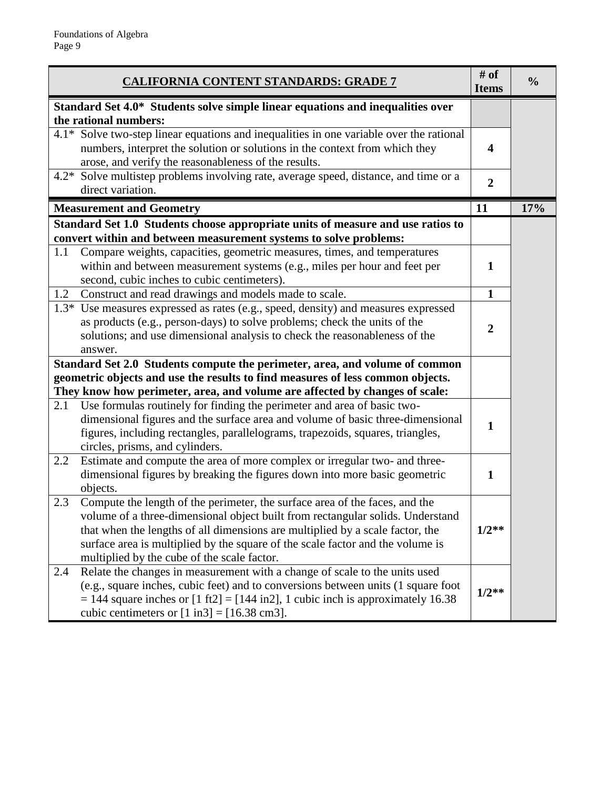|        | <b>CALIFORNIA CONTENT STANDARDS: GRADE 7</b>                                                                                                                                                                                                                                                                                                                                    | # of<br><b>Items</b> | $\frac{0}{0}$ |
|--------|---------------------------------------------------------------------------------------------------------------------------------------------------------------------------------------------------------------------------------------------------------------------------------------------------------------------------------------------------------------------------------|----------------------|---------------|
|        | Standard Set 4.0* Students solve simple linear equations and inequalities over<br>the rational numbers:                                                                                                                                                                                                                                                                         |                      |               |
|        | 4.1* Solve two-step linear equations and inequalities in one variable over the rational<br>numbers, interpret the solution or solutions in the context from which they<br>arose, and verify the reasonableness of the results.                                                                                                                                                  | 4                    |               |
|        | 4.2* Solve multistep problems involving rate, average speed, distance, and time or a<br>direct variation.                                                                                                                                                                                                                                                                       | $\overline{2}$       |               |
|        | <b>Measurement and Geometry</b>                                                                                                                                                                                                                                                                                                                                                 | 11                   | 17%           |
|        | Standard Set 1.0 Students choose appropriate units of measure and use ratios to<br>convert within and between measurement systems to solve problems:                                                                                                                                                                                                                            |                      |               |
| 1.1    | Compare weights, capacities, geometric measures, times, and temperatures<br>within and between measurement systems (e.g., miles per hour and feet per<br>second, cubic inches to cubic centimeters).                                                                                                                                                                            | $\mathbf{1}$         |               |
| 1.2    | Construct and read drawings and models made to scale.                                                                                                                                                                                                                                                                                                                           | $\mathbf{1}$         |               |
| $1.3*$ | Use measures expressed as rates (e.g., speed, density) and measures expressed<br>as products (e.g., person-days) to solve problems; check the units of the<br>solutions; and use dimensional analysis to check the reasonableness of the<br>answer.                                                                                                                             | $\overline{2}$       |               |
|        | Standard Set 2.0 Students compute the perimeter, area, and volume of common                                                                                                                                                                                                                                                                                                     |                      |               |
|        | geometric objects and use the results to find measures of less common objects.                                                                                                                                                                                                                                                                                                  |                      |               |
|        | They know how perimeter, area, and volume are affected by changes of scale:                                                                                                                                                                                                                                                                                                     |                      |               |
| 2.1    | Use formulas routinely for finding the perimeter and area of basic two-<br>dimensional figures and the surface area and volume of basic three-dimensional<br>figures, including rectangles, parallelograms, trapezoids, squares, triangles,<br>circles, prisms, and cylinders.                                                                                                  | $\mathbf{1}$         |               |
| 2.2    | Estimate and compute the area of more complex or irregular two- and three-<br>dimensional figures by breaking the figures down into more basic geometric<br>objects.                                                                                                                                                                                                            | $\mathbf{1}$         |               |
| 2.3    | Compute the length of the perimeter, the surface area of the faces, and the<br>volume of a three-dimensional object built from rectangular solids. Understand<br>that when the lengths of all dimensions are multiplied by a scale factor, the<br>surface area is multiplied by the square of the scale factor and the volume is<br>multiplied by the cube of the scale factor. | $1/2**$              |               |
| 2.4    | Relate the changes in measurement with a change of scale to the units used<br>(e.g., square inches, cubic feet) and to conversions between units (1 square foot<br>$= 144$ square inches or $[1 \text{ ft2}] = [144 \text{ in2}], 1$ cubic inch is approximately 16.38<br>cubic centimeters or $[1 \text{ in} 3] = [16.38 \text{ cm} 3]$ .                                      | $1/2**$              |               |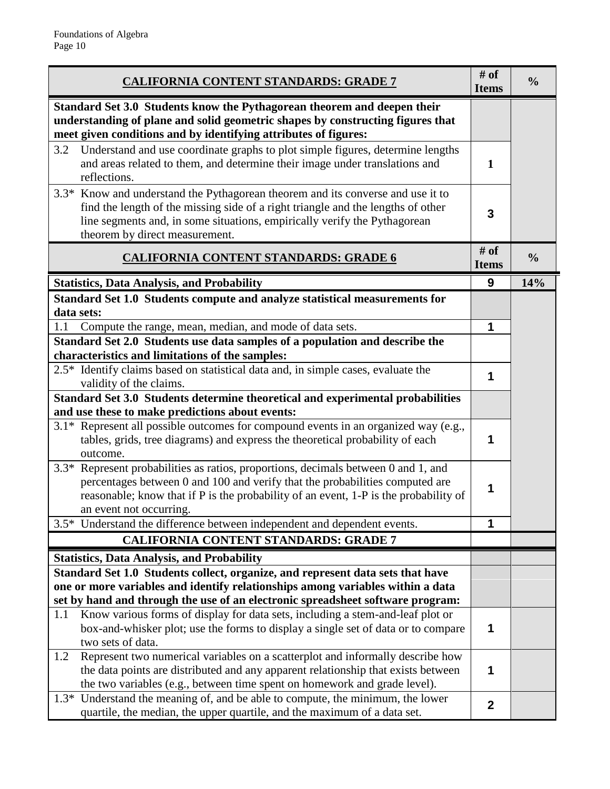| <b>CALIFORNIA CONTENT STANDARDS: GRADE 7</b>                                                                                                                                                                                                                                               | # of<br><b>Items</b> | $\frac{0}{0}$ |
|--------------------------------------------------------------------------------------------------------------------------------------------------------------------------------------------------------------------------------------------------------------------------------------------|----------------------|---------------|
| Standard Set 3.0 Students know the Pythagorean theorem and deepen their<br>understanding of plane and solid geometric shapes by constructing figures that<br>meet given conditions and by identifying attributes of figures:                                                               |                      |               |
| Understand and use coordinate graphs to plot simple figures, determine lengths<br>3.2<br>and areas related to them, and determine their image under translations and<br>reflections.                                                                                                       | $\mathbf{1}$         |               |
| Know and understand the Pythagorean theorem and its converse and use it to<br>$3.3*$<br>find the length of the missing side of a right triangle and the lengths of other<br>line segments and, in some situations, empirically verify the Pythagorean<br>theorem by direct measurement.    | 3                    |               |
| <b>CALIFORNIA CONTENT STANDARDS: GRADE 6</b>                                                                                                                                                                                                                                               | # of<br><b>Items</b> | $\frac{0}{0}$ |
| <b>Statistics, Data Analysis, and Probability</b>                                                                                                                                                                                                                                          | 9                    | 14%           |
| Standard Set 1.0 Students compute and analyze statistical measurements for<br>data sets:                                                                                                                                                                                                   |                      |               |
| Compute the range, mean, median, and mode of data sets.<br>1.1                                                                                                                                                                                                                             | 1                    |               |
| Standard Set 2.0 Students use data samples of a population and describe the<br>characteristics and limitations of the samples:                                                                                                                                                             |                      |               |
| 2.5* Identify claims based on statistical data and, in simple cases, evaluate the<br>validity of the claims.                                                                                                                                                                               | 1                    |               |
| Standard Set 3.0 Students determine theoretical and experimental probabilities<br>and use these to make predictions about events:                                                                                                                                                          |                      |               |
| 3.1* Represent all possible outcomes for compound events in an organized way (e.g.,<br>tables, grids, tree diagrams) and express the theoretical probability of each<br>outcome.                                                                                                           | 1                    |               |
| Represent probabilities as ratios, proportions, decimals between 0 and 1, and<br>$3.3*$<br>percentages between 0 and 100 and verify that the probabilities computed are<br>reasonable; know that if P is the probability of an event, 1-P is the probability of<br>an event not occurring. | 1                    |               |
| 3.5* Understand the difference between independent and dependent events.                                                                                                                                                                                                                   | 1                    |               |
| <b>CALIFORNIA CONTENT STANDARDS: GRADE 7</b>                                                                                                                                                                                                                                               |                      |               |
| <b>Statistics, Data Analysis, and Probability</b>                                                                                                                                                                                                                                          |                      |               |
| Standard Set 1.0 Students collect, organize, and represent data sets that have<br>one or more variables and identify relationships among variables within a data                                                                                                                           |                      |               |
| set by hand and through the use of an electronic spreadsheet software program:                                                                                                                                                                                                             |                      |               |
| Know various forms of display for data sets, including a stem-and-leaf plot or<br>1.1<br>box-and-whisker plot; use the forms to display a single set of data or to compare<br>two sets of data.                                                                                            | 1                    |               |
| Represent two numerical variables on a scatterplot and informally describe how<br>1.2<br>the data points are distributed and any apparent relationship that exists between<br>the two variables (e.g., between time spent on homework and grade level).                                    | 1                    |               |
| Understand the meaning of, and be able to compute, the minimum, the lower<br>$1.3*$<br>quartile, the median, the upper quartile, and the maximum of a data set.                                                                                                                            | $\mathbf 2$          |               |